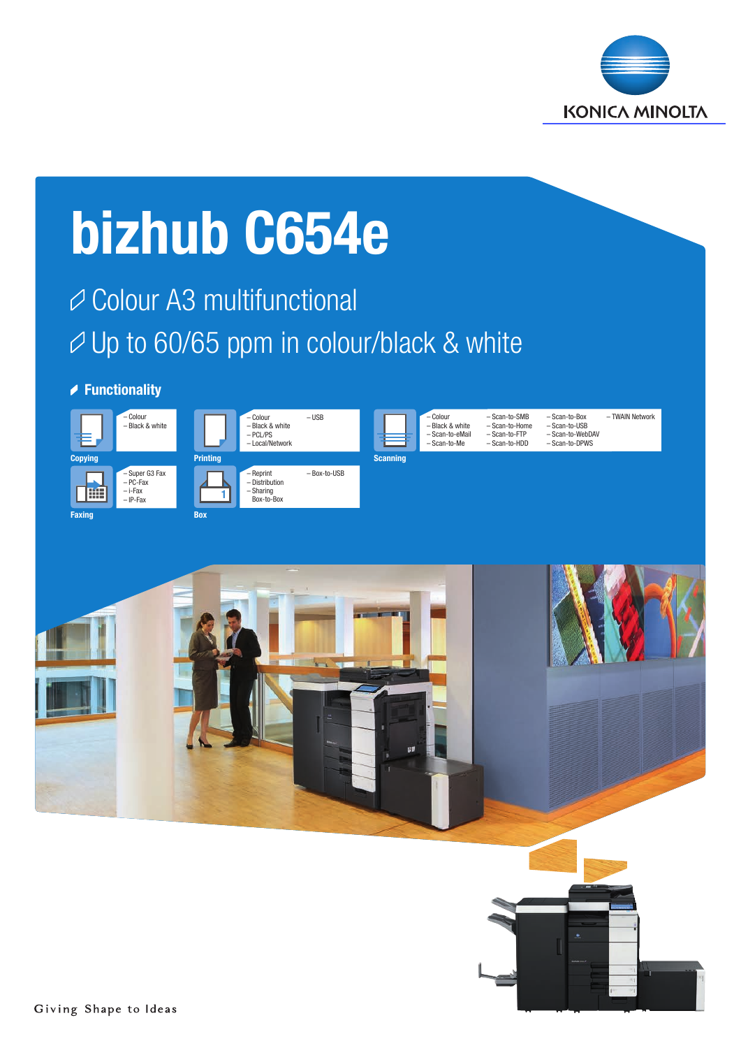

# bizhub C654e

# **⊘ Colour A3 multifunctional** Up to 60/65 ppm in colour/black & white

### **▶ Functionality**





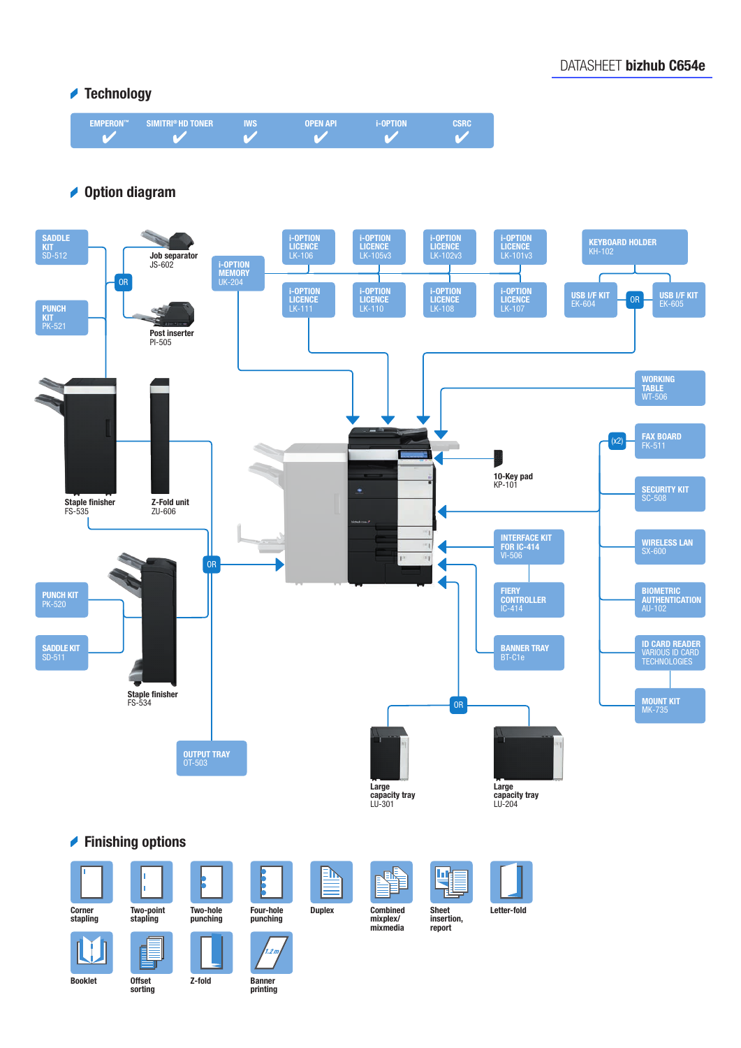# **▲ Technology**



# **▶ Option diagram**



sorting

Banner printing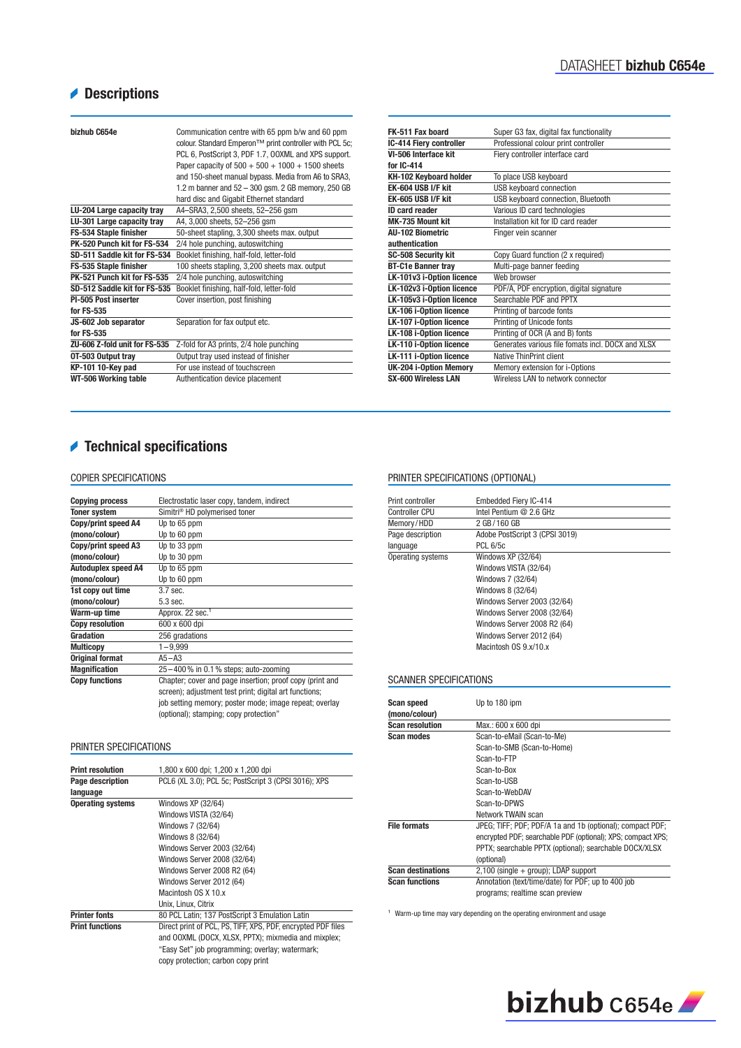# Descriptions

| bizhub C654e                  | Communication centre with 65 ppm b/w and 60 ppm<br>colour. Standard Emperon™ print controller with PCL 5c;<br>PCL 6, PostScript 3, PDF 1.7, OOXML and XPS support.<br>Paper capacity of $500 + 500 + 1000 + 1500$ sheets<br>and 150-sheet manual bypass. Media from A6 to SRA3,<br>1.2 m banner and 52 - 300 gsm. 2 GB memory, 250 GB<br>hard disc and Gigabit Ethernet standard |
|-------------------------------|----------------------------------------------------------------------------------------------------------------------------------------------------------------------------------------------------------------------------------------------------------------------------------------------------------------------------------------------------------------------------------|
| LU-204 Large capacity tray    | A4-SRA3, 2,500 sheets, 52-256 qsm                                                                                                                                                                                                                                                                                                                                                |
| LU-301 Large capacity tray    | A4, 3,000 sheets, 52-256 qsm                                                                                                                                                                                                                                                                                                                                                     |
| FS-534 Staple finisher        | 50-sheet stapling, 3,300 sheets max. output                                                                                                                                                                                                                                                                                                                                      |
| PK-520 Punch kit for FS-534   | 2/4 hole punching, autoswitching                                                                                                                                                                                                                                                                                                                                                 |
| SD-511 Saddle kit for FS-534  | Booklet finishing, half-fold, letter-fold                                                                                                                                                                                                                                                                                                                                        |
| FS-535 Staple finisher        | 100 sheets stapling, 3,200 sheets max. output                                                                                                                                                                                                                                                                                                                                    |
| PK-521 Punch kit for FS-535   | 2/4 hole punching, autoswitching                                                                                                                                                                                                                                                                                                                                                 |
| SD-512 Saddle kit for FS-535  | Booklet finishing, half-fold, letter-fold                                                                                                                                                                                                                                                                                                                                        |
| PI-505 Post inserter          | Cover insertion, post finishing                                                                                                                                                                                                                                                                                                                                                  |
| for FS-535                    |                                                                                                                                                                                                                                                                                                                                                                                  |
| JS-602 Job separator          | Separation for fax output etc.                                                                                                                                                                                                                                                                                                                                                   |
| for FS-535                    |                                                                                                                                                                                                                                                                                                                                                                                  |
| ZU-606 Z-fold unit for FS-535 | Z-fold for A3 prints, 2/4 hole punching                                                                                                                                                                                                                                                                                                                                          |
| OT-503 Output tray            | Output tray used instead of finisher                                                                                                                                                                                                                                                                                                                                             |
| KP-101 10-Key pad             | For use instead of touchscreen                                                                                                                                                                                                                                                                                                                                                   |
| WT-506 Working table          | Authentication device placement                                                                                                                                                                                                                                                                                                                                                  |

| FK-511 Fax board               | Super G3 fax, digital fax functionality           |
|--------------------------------|---------------------------------------------------|
| IC-414 Fiery controller        | Professional colour print controller              |
| VI-506 Interface kit           | Fiery controller interface card                   |
| for IC-414                     |                                                   |
| KH-102 Keyboard holder         | To place USB keyboard                             |
| EK-604 USB I/F kit             | <b>USB keyboard connection</b>                    |
| EK-605 USB I/F kit             | USB keyboard connection, Bluetooth                |
| <b>ID card reader</b>          | Various ID card technologies                      |
| MK-735 Mount kit               | Installation kit for ID card reader               |
| All-102 Biometric              | Finger vein scanner                               |
| authentication                 |                                                   |
| <b>SC-508 Security kit</b>     | Copy Guard function (2 x required)                |
| <b>BT-C1e Banner tray</b>      | Multi-page banner feeding                         |
| LK-101v3 i-Option licence      | Web browser                                       |
| LK-102v3 i-Option licence      | PDF/A, PDF encryption, digital signature          |
| LK-105v3 i-Option licence      | Searchable PDF and PPTX                           |
| LK-106 i-Option licence        | Printing of barcode fonts                         |
| <b>LK-107 i-Option licence</b> | Printing of Unicode fonts                         |
| LK-108 i-Option licence        | Printing of OCR (A and B) fonts                   |
| LK-110 i-Option licence        | Generates various file fomats incl. DOCX and XLSX |
| LK-111 i-Option licence        | Native ThinPrint client                           |
| <b>UK-204 i-Option Memory</b>  | Memory extension for i-Options                    |
| <b>SX-600 Wireless LAN</b>     | Wireless I AN to network connector                |
|                                |                                                   |

# Technical specifications

#### COPIER SPECIFICATIONS

| <b>Copying process</b>     | Electrostatic laser copy, tandem, indirect               |
|----------------------------|----------------------------------------------------------|
| <b>Toner system</b>        | Simitri <sup>®</sup> HD polymerised toner                |
| Copy/print speed A4        | Up to 65 ppm                                             |
| (mono/colour)              | Up to 60 ppm                                             |
| Copy/print speed A3        | Up to 33 ppm                                             |
| (mono/colour)              | Up to 30 ppm                                             |
| <b>Autoduplex speed A4</b> | Up to 65 ppm                                             |
| (mono/colour)              | Up to 60 ppm                                             |
| 1st copy out time          | $3.7$ sec.                                               |
| (mono/colour)              | $5.3$ sec.                                               |
| Warm-up time               | Approx. 22 sec. <sup>1</sup>                             |
| <b>Copy resolution</b>     | 600 x 600 dpi                                            |
| <b>Gradation</b>           | 256 gradations                                           |
| <b>Multicopy</b>           | $1 - 9,999$                                              |
| <b>Original format</b>     | $A5 - A3$                                                |
| <b>Magnification</b>       | 25-400% in 0.1% steps; auto-zooming                      |
| <b>Copy functions</b>      | Chapter; cover and page insertion; proof copy (print and |
|                            | screen); adjustment test print; digital art functions;   |
|                            | job setting memory; poster mode; image repeat; overlay   |
|                            | (optional); stamping; copy protection"                   |

#### PRINTER SPECIFICATIONS

| <b>Print resolution</b>  | 1,800 x 600 dpi; 1,200 x 1,200 dpi                           |
|--------------------------|--------------------------------------------------------------|
| Page description         | PCL6 (XL 3.0); PCL 5c; PostScript 3 (CPSI 3016); XPS         |
| language                 |                                                              |
| <b>Operating systems</b> | Windows XP (32/64)                                           |
|                          | Windows VISTA (32/64)                                        |
|                          | Windows 7 (32/64)                                            |
|                          | Windows 8 (32/64)                                            |
|                          | Windows Server 2003 (32/64)                                  |
|                          | Windows Server 2008 (32/64)                                  |
|                          | Windows Server 2008 R2 (64)                                  |
|                          | Windows Server 2012 (64)                                     |
|                          | Macintosh OS X 10.x                                          |
|                          | Unix. Linux. Citrix                                          |
| <b>Printer fonts</b>     | 80 PCL Latin; 137 PostScript 3 Emulation Latin               |
| <b>Print functions</b>   | Direct print of PCL, PS, TIFF, XPS, PDF, encrypted PDF files |
|                          | and OOXML (DOCX, XLSX, PPTX); mixmedia and mixplex;          |
|                          | "Easy Set" job programming; overlay; watermark;              |
|                          | copy protection; carbon copy print                           |

#### PRINTER SPECIFICATIONS (OPTIONAL)

| Embedded Fiery IC-414          |
|--------------------------------|
| Intel Pentium @ 2.6 GHz        |
| 2 GB/160 GB                    |
| Adobe PostScript 3 (CPSI 3019) |
| <b>PCL 6/5c</b>                |
| Windows XP (32/64)             |
| Windows VISTA (32/64)          |
| Windows 7 (32/64)              |
| Windows 8 (32/64)              |
| Windows Server 2003 (32/64)    |
| Windows Server 2008 (32/64)    |
| Windows Server 2008 R2 (64)    |
| Windows Server 2012 (64)       |
| Macintosh OS 9 x/10 x          |
|                                |

#### SCANNER SPECIFICATIONS

| <b>Scan speed</b><br>(mono/colour) | Up to 180 ipm                                               |
|------------------------------------|-------------------------------------------------------------|
| <b>Scan resolution</b>             | Max.: 600 x 600 dpi                                         |
| <b>Scan modes</b>                  | Scan-to-eMail (Scan-to-Me)                                  |
|                                    | Scan-to-SMB (Scan-to-Home)                                  |
|                                    | Scan-to-FTP                                                 |
|                                    | Scan-to-Box                                                 |
|                                    | Scan-to-USB                                                 |
|                                    | Scan-to-WebDAV                                              |
|                                    | Scan-to-DPWS                                                |
|                                    | Network TWAIN scan                                          |
| <b>File formats</b>                | JPEG; TIFF; PDF; PDF/A 1a and 1b (optional); compact PDF;   |
|                                    | encrypted PDF; searchable PDF (optional); XPS; compact XPS; |
|                                    | PPTX: searchable PPTX (optional): searchable DOCX/XLSX      |
|                                    | (optional)                                                  |
| <b>Scan destinations</b>           | $2,100$ (single $+$ group); LDAP support                    |
| <b>Scan functions</b>              | Annotation (text/time/date) for PDF; up to 400 job          |
|                                    | programs; realtime scan preview                             |

 $^{\rm 1} \,$  Warm-up time may vary depending on the operating environment and usage